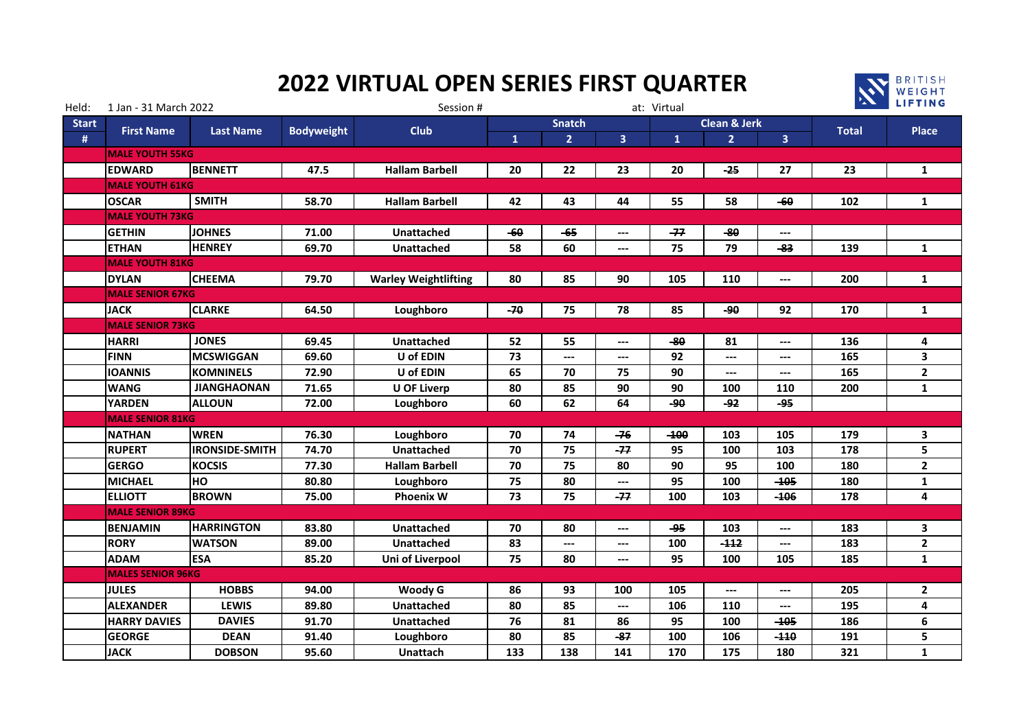## **2022 VIRTUAL OPEN SERIES FIRST QUARTER**



| Held:        | 1 Jan - 31 March 2022    |                                                            |       | Session #                   |              | at: Virtual    |                              |              | <b>A LIFTING</b>        |                              |              |              |  |
|--------------|--------------------------|------------------------------------------------------------|-------|-----------------------------|--------------|----------------|------------------------------|--------------|-------------------------|------------------------------|--------------|--------------|--|
| <b>Start</b> |                          | <b>First Name</b><br><b>Last Name</b><br><b>Bodyweight</b> |       | <b>Club</b>                 |              | <b>Snatch</b>  |                              |              | <b>Clean &amp; Jerk</b> |                              |              | Place        |  |
| $\sharp$     |                          |                                                            |       |                             | $\mathbf{1}$ | $\overline{2}$ | $\overline{\mathbf{3}}$      | $\mathbf{1}$ | $\overline{2}$          | $\overline{\mathbf{3}}$      | <b>Total</b> |              |  |
|              | <b>MALE YOUTH 55KG</b>   |                                                            |       |                             |              |                |                              |              |                         |                              |              |              |  |
|              | <b>EDWARD</b>            | <b>BENNETT</b>                                             | 47.5  | <b>Hallam Barbell</b>       | 20           | 22             | 23                           | 20           | $-25$                   | 27                           | 23           | $\mathbf{1}$ |  |
|              | <b>MALE YOUTH 61KG</b>   |                                                            |       |                             |              |                |                              |              |                         |                              |              |              |  |
|              | <b>OSCAR</b>             | <b>SMITH</b>                                               | 58.70 | <b>Hallam Barbell</b>       |              | 43             | 44                           | 55           | 58                      | $-60$                        | 102          | 1            |  |
|              | <b>MALE YOUTH 73KG</b>   |                                                            |       |                             |              |                |                              |              |                         |                              |              |              |  |
|              | <b>GETHIN</b>            | <b>JOHNES</b>                                              | 71.00 | <b>Unattached</b>           | $-60$        | $-65$          | ---                          | -77          | $-80$                   | ---                          |              |              |  |
|              | <b>ETHAN</b>             | <b>HENREY</b>                                              | 69.70 | <b>Unattached</b>           | 58           | 60             | $---$                        | 75           | 79                      | -83                          | 139          | $\mathbf{1}$ |  |
|              | <b>MALE YOUTH 81KG</b>   |                                                            |       |                             |              |                |                              |              |                         |                              |              |              |  |
|              | <b>DYLAN</b>             | <b>CHEEMA</b>                                              | 79.70 | <b>Warley Weightlifting</b> | 80           | 85             | 90                           | 105          | 110                     | ---                          | 200          | 1            |  |
|              | <b>MALE SENIOR 67KG</b>  |                                                            |       |                             |              |                |                              |              |                         |                              |              |              |  |
|              | <b>JACK</b>              | <b>CLARKE</b>                                              | 64.50 | Loughboro                   | $-70$        | 75             | 78                           | 85           | -90                     | 92                           | 170          | 1            |  |
|              | <b>MALE SENIOR 73KG</b>  |                                                            |       |                             |              |                |                              |              |                         |                              |              |              |  |
|              | <b>HARRI</b>             | <b>JONES</b>                                               | 69.45 | Unattached                  | 52           | 55             | $\qquad \qquad \textbf{---}$ | $-80$        | 81                      | ---                          | 136          | 4            |  |
|              | <b>FINN</b>              | <b>MCSWIGGAN</b>                                           | 69.60 | U of EDIN                   | 73           | ---            | $---$                        | 92           | $---$                   | $\qquad \qquad \textbf{---}$ | 165          | 3            |  |
|              | <b>IOANNIS</b>           | <b>KOMNINELS</b>                                           | 72.90 | U of EDIN                   | 65           | 70             | 75                           | 90           | $---$                   | $---$                        | 165          | $\mathbf{2}$ |  |
|              | <b>WANG</b>              | <b>JIANGHAONAN</b>                                         | 71.65 | <b>U OF Liverp</b>          | 80           | 85             | 90                           | 90           | 100                     | 110                          | 200          | $\mathbf{1}$ |  |
|              | <b>YARDEN</b>            | <b>ALLOUN</b>                                              | 72.00 | Loughboro                   | 60           | 62             | 64                           | ھو۔          | جو۔                     | -95                          |              |              |  |
|              | <b>MALE SENIOR 81KG</b>  |                                                            |       |                             |              |                |                              |              |                         |                              |              |              |  |
|              | <b>NATHAN</b>            | <b>WREN</b>                                                | 76.30 | Loughboro                   | 70           | 74             | $-76$                        | $-100$       | 103                     | 105                          | 179          | 3            |  |
|              | <b>RUPERT</b>            | <b>IRONSIDE-SMITH</b>                                      | 74.70 | Unattached                  | 70           | 75             | $-77$                        | 95           | 100                     | 103                          | 178          | 5            |  |
|              | <b>GERGO</b>             | <b>KOCSIS</b>                                              | 77.30 | <b>Hallam Barbell</b>       | 70           | 75             | 80                           | 90           | 95                      | 100                          | 180          | $\mathbf{2}$ |  |
|              | <b>MICHAEL</b>           | HO                                                         | 80.80 | Loughboro                   | 75           | 80             | ---                          | 95           | 100                     | $-105$                       | 180          | $\mathbf{1}$ |  |
|              | <b>ELLIOTT</b>           | <b>BROWN</b>                                               | 75.00 | <b>Phoenix W</b>            | 73           | 75             | $-77$                        | 100          | 103                     | $-106$                       | 178          | 4            |  |
|              | <b>MALE SENIOR 89KG</b>  |                                                            |       |                             |              |                |                              |              |                         |                              |              |              |  |
|              | <b>BENJAMIN</b>          | <b>HARRINGTON</b>                                          | 83.80 | <b>Unattached</b>           | 70           | 80             | $---$                        | -95          | 103                     | ---                          | 183          | 3            |  |
|              | <b>RORY</b>              | <b>WATSON</b>                                              | 89.00 | <b>Unattached</b>           | 83           | ---            | $\qquad \qquad \cdots$       | 100          | $-112$                  | ---                          | 183          | $\mathbf{2}$ |  |
|              | <b>ADAM</b>              | ESA                                                        | 85.20 | Uni of Liverpool            | 75           | 80             | $---$                        | 95           | 100                     | 105                          | 185          | $\mathbf{1}$ |  |
|              | <b>MALES SENIOR 96KG</b> |                                                            |       |                             |              |                |                              |              |                         |                              |              |              |  |
|              | <b>JULES</b>             | <b>HOBBS</b>                                               | 94.00 | Woody G                     | 86           | 93             | 100                          | 105          | $---$                   | ---                          | 205          | $\mathbf{2}$ |  |
|              | <b>ALEXANDER</b>         | <b>LEWIS</b>                                               | 89.80 | <b>Unattached</b>           | 80           | 85             | $---$                        | 106          | 110                     | ---                          | 195          | 4            |  |
|              | <b>HARRY DAVIES</b>      | <b>DAVIES</b>                                              | 91.70 | <b>Unattached</b>           | 76           | 81             | 86                           | 95           | 100                     | $-105$                       | 186          | 6            |  |
|              | <b>GEORGE</b>            | <b>DEAN</b>                                                | 91.40 | Loughboro                   | 80           | 85             | -87                          | 100          | 106                     | $-110$                       | 191          | 5            |  |
|              | <b>JACK</b>              | <b>DOBSON</b><br>95.60<br><b>Unattach</b>                  |       | 133                         | 138          | 141            | 170                          | 175          | 180                     | 321                          | $\mathbf{1}$ |              |  |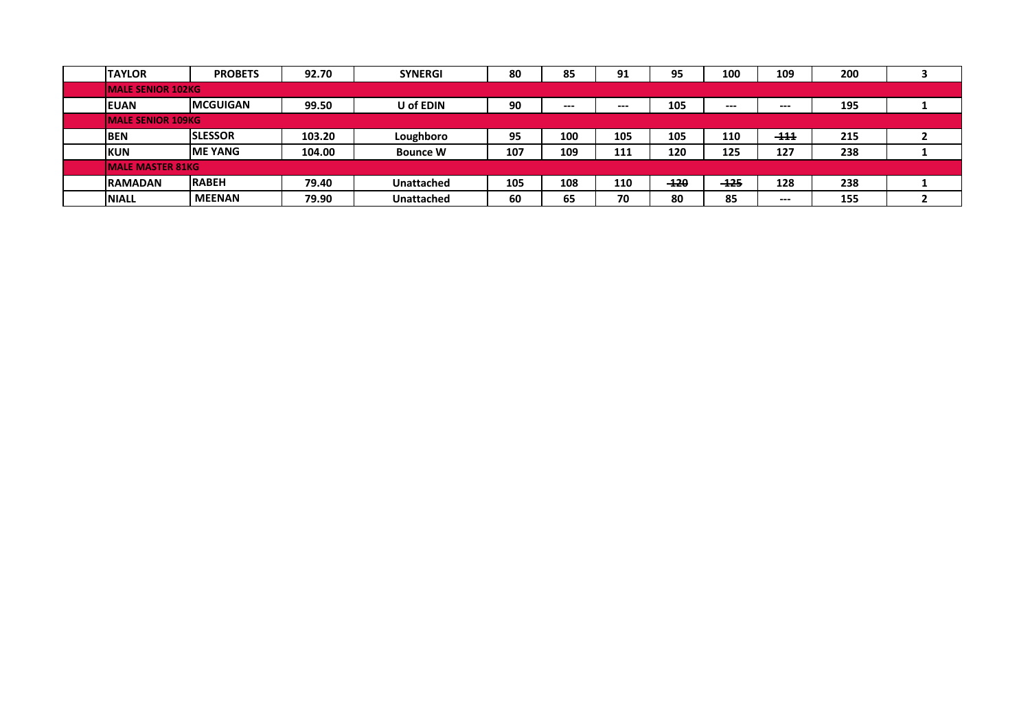| <b>TAYLOR</b>             | 92.70<br><b>PROBETS</b> |                           | <b>SYNERGI</b>    | 80  | 85    | 95<br>91 |        | 100<br>109 |        | 200 |  |  |  |  |
|---------------------------|-------------------------|---------------------------|-------------------|-----|-------|----------|--------|------------|--------|-----|--|--|--|--|
| <b>IMALE SENIOR 102KG</b> |                         |                           |                   |     |       |          |        |            |        |     |  |  |  |  |
| <b>IEUAN</b>              | <b>IMCGUIGAN</b>        | 99.50                     | <b>U</b> of EDIN  | 90  | $---$ | $--$     | 105    | $---$      | $---$  | 195 |  |  |  |  |
| <b>IMALE SENIOR 109KG</b> |                         |                           |                   |     |       |          |        |            |        |     |  |  |  |  |
| <b>BEN</b>                | <b>SLESSOR</b>          | 103.20                    | Loughboro         | 95  | 100   | 105      | 105    | 110        | $-111$ | 215 |  |  |  |  |
| <b>IKUN</b>               | <b>IME YANG</b>         | 104.00<br><b>Bounce W</b> |                   | 107 | 109   | 111      | 120    | 125        | 127    | 238 |  |  |  |  |
| <b>MALE MASTER 81KG</b>   |                         |                           |                   |     |       |          |        |            |        |     |  |  |  |  |
| <b>RAMADAN</b>            | <b>RABEH</b>            | 79.40                     | <b>Unattached</b> | 105 | 108   | 110      | $-120$ | $-125$     | 128    | 238 |  |  |  |  |
| <b>NIALL</b>              | <b>MEENAN</b>           | 79.90                     | <b>Unattached</b> | 60  | 65    | 70       | 80     | 85         | $---$  | 155 |  |  |  |  |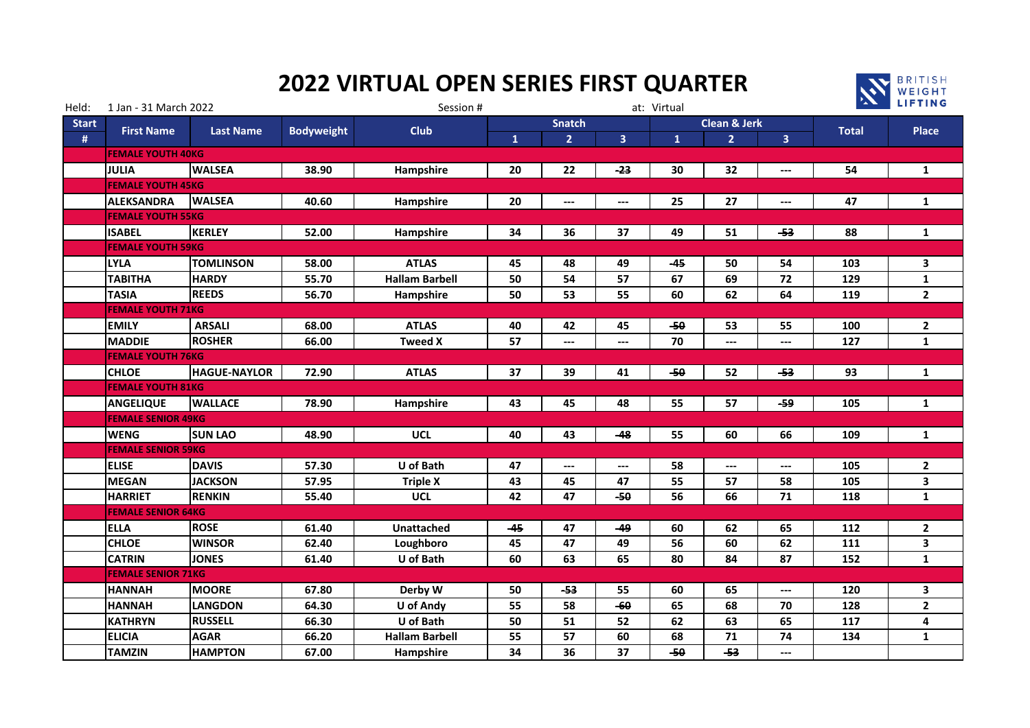## **2022 VIRTUAL OPEN SERIES FIRST QUARTER**



| Held:        | 1 Jan - 31 March 2022                                      |                                              |             | Session #             |               | at: Virtual              |       | <b>EXAMPLE PRINCIPAL</b> |                |                              |              |                |  |
|--------------|------------------------------------------------------------|----------------------------------------------|-------------|-----------------------|---------------|--------------------------|-------|--------------------------|----------------|------------------------------|--------------|----------------|--|
| <b>Start</b> | <b>First Name</b><br><b>Last Name</b><br><b>Bodyweight</b> |                                              | <b>Club</b> |                       | <b>Snatch</b> |                          |       | <b>Clean &amp; Jerk</b>  |                | Place                        |              |                |  |
| $\#$         |                                                            |                                              |             |                       | $\mathbf{1}$  | $\overline{2}$           | 3     |                          | $\overline{2}$ | $\overline{\mathbf{3}}$      | <b>Total</b> |                |  |
|              | <b>FEMALE YOUTH 40KG</b>                                   |                                              |             |                       |               |                          |       |                          |                |                              |              |                |  |
|              | JULIA                                                      | <b>WALSEA</b>                                | 38.90       | Hampshire             | 20            | 22                       | -23   | 30                       | 32             | $\qquad \qquad \textbf{---}$ | 54           | $\mathbf{1}$   |  |
|              | <b>FEMALE YOUTH 45KG</b>                                   |                                              |             |                       |               |                          |       |                          |                |                              |              |                |  |
|              | <b>ALEKSANDRA</b>                                          | <b>WALSEA</b>                                | 40.60       | Hampshire             | 20            | $\hspace{0.05cm} \ldots$ | $---$ | 25                       | 27             | $\hspace{0.05cm} \ldots$     | 47           | $\mathbf{1}$   |  |
|              | <b>FEMALE YOUTH 55KG</b>                                   |                                              |             |                       |               |                          |       |                          |                |                              |              |                |  |
|              | <b>ISABEL</b>                                              | <b>KERLEY</b>                                | 52.00       | Hampshire             | 34            | 36                       | 37    | 49                       | 51             | -53                          | 88           | $\mathbf{1}$   |  |
|              | <b>FEMALE YOUTH 59KG</b>                                   |                                              |             |                       |               |                          |       |                          |                |                              |              |                |  |
|              | <b>LYLA</b>                                                | <b>TOMLINSON</b>                             | 58.00       | <b>ATLAS</b>          | 45            | 48                       | 49    | $-45$                    | 50             | 54                           | 103          | 3              |  |
|              | <b>TABITHA</b>                                             | <b>HARDY</b>                                 | 55.70       | <b>Hallam Barbell</b> | 50            | 54                       | 57    | 67                       | 69             | 72                           | 129          | $\mathbf{1}$   |  |
|              | <b>TASIA</b>                                               | <b>REEDS</b>                                 | 56.70       | Hampshire             | 50            | 53                       | 55    | 60                       | 62             | 64                           | 119          | $\mathbf{2}$   |  |
|              | <b>FEMALE YOUTH 71KG</b>                                   |                                              |             |                       |               |                          |       |                          |                |                              |              |                |  |
|              | <b>EMILY</b>                                               | <b>ARSALI</b>                                | 68.00       | <b>ATLAS</b>          | 40            | 42                       | 45    | $-50$                    | 53             | 55                           | 100          | $\mathbf{2}$   |  |
|              | <b>MADDIE</b>                                              | <b>ROSHER</b>                                | 66.00       | <b>Tweed X</b>        | 57            | $---$                    | $---$ | 70                       | $---$          | ---                          | 127          | $\mathbf{1}$   |  |
|              | <b>FEMALE YOUTH 76KG</b>                                   |                                              |             |                       |               |                          |       |                          |                |                              |              |                |  |
|              | <b>CHLOE</b>                                               | <b>HAGUE-NAYLOR</b><br>72.90<br><b>ATLAS</b> |             |                       | 37            | 39                       | 41    | $-50$                    | 52             | -53                          | 93           | $\mathbf{1}$   |  |
|              | <b>FEMALE YOUTH 81KG</b>                                   |                                              |             |                       |               |                          |       |                          |                |                              |              |                |  |
|              | <b>ANGELIQUE</b>                                           | <b>WALLACE</b>                               | 78.90       | Hampshire             | 43            | 45                       | 48    | 55                       | 57             | -59                          | 105          | $\mathbf{1}$   |  |
|              | <b>FEMALE SENIOR 49KG</b>                                  |                                              |             |                       |               |                          |       |                          |                |                              |              |                |  |
|              | <b>WENG</b>                                                | <b>SUN LAO</b>                               | 48.90       | <b>UCL</b>            | 40            | 43                       | $-48$ | 55                       | 60             | 66                           | 109          | $\mathbf{1}$   |  |
|              | <b>FEMALE SENIOR 59KG</b>                                  |                                              |             |                       |               |                          |       |                          |                |                              |              |                |  |
|              | <b>ELISE</b>                                               | <b>DAVIS</b>                                 | 57.30       | U of Bath             | 47            | ---                      | $---$ | 58                       | ---            | ---                          | 105          | $\overline{2}$ |  |
|              | <b>MEGAN</b>                                               | <b>JACKSON</b>                               | 57.95       | <b>Triple X</b>       | 43            | 45                       | 47    | 55                       | 57             | 58                           | 105          | 3              |  |
|              | <b>HARRIET</b>                                             | <b>RENKIN</b>                                | 55.40       | <b>UCL</b>            | 42            | 47                       | $-50$ | 56                       | 66             | 71                           | 118          | $\mathbf{1}$   |  |
|              | <b>FEMALE SENIOR 64KG</b>                                  |                                              |             |                       |               |                          |       |                          |                |                              |              |                |  |
|              | <b>ELLA</b>                                                | <b>ROSE</b>                                  | 61.40       | <b>Unattached</b>     | -45           | 47                       | $-49$ | 60                       | 62             | 65                           | 112          | $\mathbf{2}$   |  |
|              | <b>CHLOE</b>                                               | <b>WINSOR</b>                                | 62.40       | Loughboro             | 45            | 47                       | 49    | 56                       | 60             | 62                           | 111          | 3              |  |
|              | <b>CATRIN</b>                                              | <b>JONES</b>                                 | 61.40       | U of Bath             | 60            | 63                       | 65    | 80                       | 84             | 87                           | 152          | $\mathbf{1}$   |  |
|              | <b>FEMALE SENIOR 71KG</b>                                  |                                              |             |                       |               |                          |       |                          |                |                              |              |                |  |
|              | <b>HANNAH</b>                                              | <b>MOORE</b>                                 | 67.80       | Derby W               | 50            | $-53$                    | 55    | 60                       | 65             | ---                          | 120          | 3              |  |
|              | <b>HANNAH</b>                                              | <b>LANGDON</b>                               | 64.30       | <b>U</b> of Andy      | 55            | 58                       | $-60$ | 65                       | 68             | 70                           | 128          | $\overline{2}$ |  |
|              | <b>KATHRYN</b>                                             | <b>RUSSELL</b>                               | 66.30       | U of Bath             | 50            | 51                       | 52    | 62                       | 63             | 65                           | 117          | 4              |  |
|              | <b>ELICIA</b>                                              | <b>AGAR</b>                                  | 66.20       | <b>Hallam Barbell</b> | 55            | 57                       | 60    | 68                       | 71             | 74                           | 134          | $\mathbf{1}$   |  |
|              | <b>TAMZIN</b>                                              | <b>HAMPTON</b>                               | 67.00       | Hampshire             | 34            | 36                       | 37    | $-50$                    | $-53$          | ---                          |              |                |  |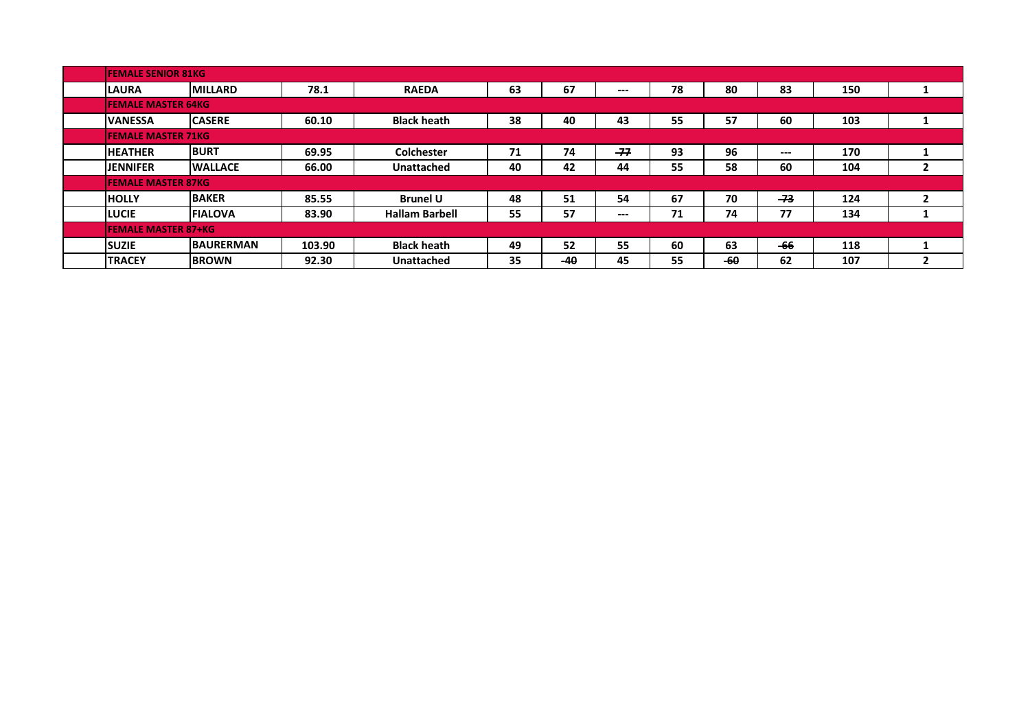| <b>FEMALE SENIOR 81KG</b>  |                  |                                |                    |    |       |                        |    |       |                        |     |                |  |  |  |
|----------------------------|------------------|--------------------------------|--------------------|----|-------|------------------------|----|-------|------------------------|-----|----------------|--|--|--|
| <b>LAURA</b>               | <b>MILLARD</b>   | <b>RAEDA</b>                   | 63                 | 67 | $---$ | 78                     | 80 | 83    | 150                    |     |                |  |  |  |
| <b>FEMALE MASTER 64KG</b>  |                  |                                |                    |    |       |                        |    |       |                        |     |                |  |  |  |
| <b>IVANESSA</b>            | <b>CASERE</b>    | 60.10                          | <b>Black heath</b> | 38 | 40    | 43                     | 55 | 57    | 60                     | 103 |                |  |  |  |
| <b>FEMALE MASTER 71KG</b>  |                  |                                |                    |    |       |                        |    |       |                        |     |                |  |  |  |
| <b>HEATHER</b>             | <b>BURT</b>      | 69.95<br><b>Colchester</b>     |                    | 71 | 74    | $-77$                  | 93 | 96    | $\qquad \qquad \cdots$ | 170 |                |  |  |  |
| <b>IJENNIFER</b>           | <b>WALLACE</b>   | 66.00<br><b>Unattached</b>     |                    | 40 | 42    | 44                     | 55 | 58    | 60                     | 104 | $\mathbf{2}$   |  |  |  |
| <b>FEMALE MASTER 87KG</b>  |                  |                                |                    |    |       |                        |    |       |                        |     |                |  |  |  |
| <b>HOLLY</b>               | <b>BAKER</b>     | 85.55                          | <b>Brunel U</b>    | 48 | 51    | 54                     | 67 | 70    | $-73$                  | 124 | $\overline{2}$ |  |  |  |
| <b>LUCIE</b>               | <b>FIALOVA</b>   | 83.90<br><b>Hallam Barbell</b> |                    | 55 | 57    | $\qquad \qquad \cdots$ | 71 | 74    | 77                     | 134 |                |  |  |  |
| <b>FEMALE MASTER 87+KG</b> |                  |                                |                    |    |       |                        |    |       |                        |     |                |  |  |  |
| <b>SUZIE</b>               | <b>BAURERMAN</b> | 103.90                         | <b>Black heath</b> | 49 | 52    | 55                     | 60 | 63    | -66                    | 118 |                |  |  |  |
| <b>TRACEY</b>              | <b>IBROWN</b>    | 92.30                          | <b>Unattached</b>  | 35 | -40   | 45                     | 55 | $-60$ | 62                     | 107 | 2              |  |  |  |